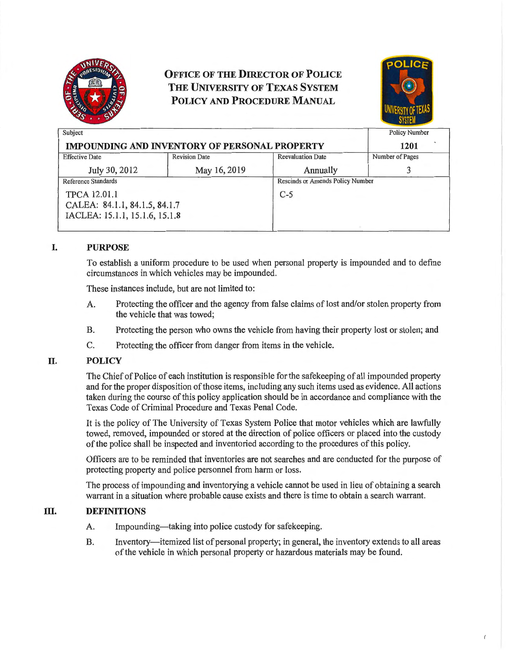

# **OFFICE OF THE DIRECTOR OF POLICE THE UNIVERSITY OF TEXAS SYSTEM POLICY AND PROCEDURE MANUAL**



| Subject                                              |                      |                                         | <b>Policy Number</b> |
|------------------------------------------------------|----------------------|-----------------------------------------|----------------------|
| <b>IMPOUNDING AND INVENTORY OF PERSONAL PROPERTY</b> |                      |                                         | 1201                 |
| <b>Effective Date</b>                                | <b>Revision Date</b> | <b>Reevaluation Date</b>                | Number of Pages      |
| July 30, 2012                                        | May 16, 2019         | Annually                                |                      |
| <b>Reference Standards</b>                           |                      | <b>Rescinds or Amends Policy Number</b> |                      |
| <b>TPCA 12.01.1</b>                                  |                      | $C-5$                                   |                      |
| CALEA: 84.1.1, 84.1.5, 84.1.7                        |                      |                                         |                      |
| IACLEA: 15.1.1, 15.1.6, 15.1.8                       |                      |                                         |                      |
|                                                      |                      |                                         |                      |

## **I. PURPOSE**

To establish a uniform procedure to be used when personal property is impounded and to define circumstances in which vehicles may be impounded.

These instances include, but are not limited to:

- A. Protecting the officer and the agency from false claims of lost and/or stolen property from the vehicle that was towed;
- B. Protecting the person who owns the vehicle from having their property lost or stolen; and
- C. Protecting the officer from danger from items in the vehicle.

## **II. POLICY**

The Chief of Police of each institution is responsible for the safekeeping of all impounded property and for the proper disposition of those items, including any such items used as evidence. All actions taken during the course of this policy application should be in accordance and compliance with the Texas Code of Criminal Procedure and Texas Penal Code.

It is the policy of The University of Texas System Police that motor vehicles which are lawfully towed, removed, impounded or stored at the direction of police officers or placed into the custody of the police shall be inspected and inventoried according to the procedures of this policy.

Officers are to be reminded that inventories are not searches and are conducted for the purpose of protecting property and police personnel from harm or loss.

The process of impounding and inventorying a vehicle cannot be used in lieu of obtaining a search warrant in a situation where probable cause exists and there is time to obtain a search warrant.

## **III.** DEFINITIONS

- A. Impounding—taking into police custody for safekeeping.
- B. Inventory—itemized list of personal property; in general, the inventory extends to all areas of the vehicle in which personal property or hazardous materials may be found.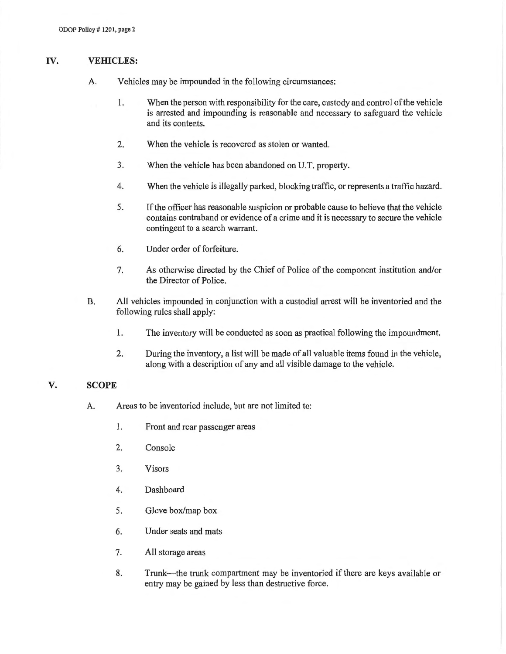## IV. **VEHICLES:**

- A. Vehicles may be impounded in the following circumstances:
	- 1. When the person with responsibility for the care, custody and control of the vehicle is arrested and impounding is reasonable and necessary to safeguard the vehicle and its contents.
	- 2. When the vehicle is recovered as stolen or wanted.
	- 3. When the vehicle has been abandoned on U.T. property.
	- 4. When the vehicle is illegally parked, blocking traffic, or represents a traffic hazard.
	- 5. If the officer has reasonable suspicion or probable cause to believe that the vehicle contains contraband or evidence of a crime and it is necessary to secure the vehicle contingent to a search warrant.
	- 6. Under order of forfeiture.
	- 7. As otherwise directed by the Chief of Police of the component institution and/or the Director of Police.
- B. All vehicles impounded in conjunction with a custodial arrest will be inventoried and the following rules shall apply:
	- 1. The inventory will be conducted as soon as practical following the impoundment.
	- 2. During the inventory, a list will be made of all valuable items found in the vehicle, along with a description of any and all visible damage to the vehicle.

## **V. SCOPE**

- A. Areas to be inventoried include, but are not limited to:
	- 1. Front and rear passenger areas
	- 2. Console
	- 3. Visors
	- 4. Dashboard
	- 5. Glove box/map box
	- 6. Under seats and mats
	- 7. All storage areas
	- 8. Trunk—the trunk compartment may be inventoried if there are keys available or entry may be gained by less than destructive force.